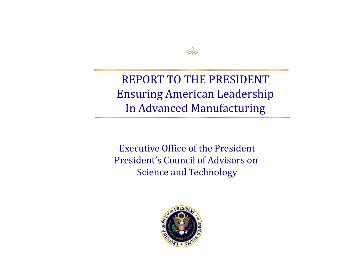

REPORT TO THE PRESIDENT Ensuring American Leadership In Advanced Manufacturing

Executive Office of the President President's Council of Advisors on Science and Technology

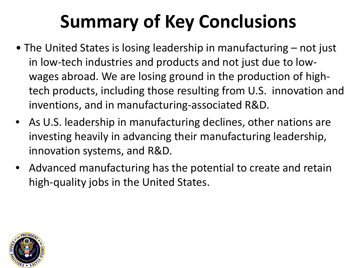# **Summary of Key Conclusions**

- The United States is losing leadership in manufacturing not just in low-tech industries and products and not just due to lowwages abroad. We are losing ground in the production of hightech products, including those resulting from U.S. innovation and inventions, and in manufacturing-associated R&D.
- As U.S. leadership in manufacturing declines, other nations are investing heavily in advancing their manufacturing leadership, innovation systems, and R&D.
- Advanced manufacturing has the potential to create and retain high-quality jobs in the United States.

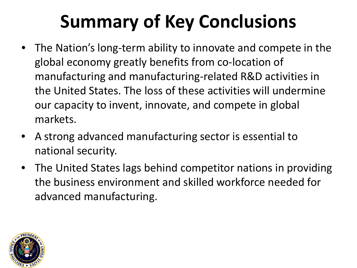# **Summary of Key Conclusions**

- The Nation's long-term ability to innovate and compete in the global economy greatly benefits from co-location of manufacturing and manufacturing-related R&D activities in the United States. The loss of these activities will undermine our capacity to invent, innovate, and compete in global markets.
- A strong advanced manufacturing sector is essential to national security.
- The United States lags behind competitor nations in providing the business environment and skilled workforce needed for advanced manufacturing.

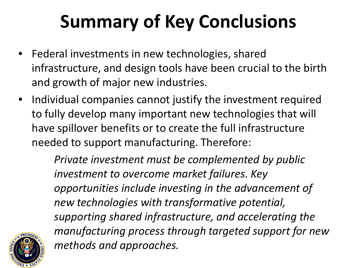# **Summary of Key Conclusions**

- Federal investments in new technologies, shared infrastructure, and design tools have been crucial to the birth and growth of major new industries.
- Individual companies cannot justify the investment required to fully develop many important new technologies that will have spillover benefits or to create the full infrastructure needed to support manufacturing. Therefore:

*Private investment must be complemented by public investment to overcome market failures. Key opportunities include investing in the advancement of new technologies with transformative potential, supporting shared infrastructure, and accelerating the manufacturing process through targeted support for new methods and approaches.*

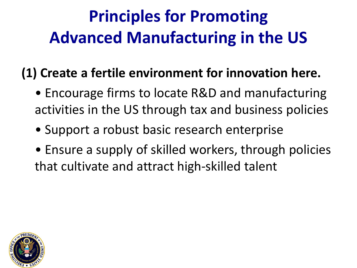#### **Principles for Promoting Advanced Manufacturing in the US**

#### **(1) Create a fertile environment for innovation here.**

- Encourage firms to locate R&D and manufacturing activities in the US through tax and business policies
- Support a robust basic research enterprise
- Ensure a supply of skilled workers, through policies that cultivate and attract high-skilled talent

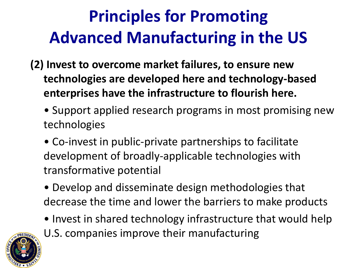#### **Principles for Promoting Advanced Manufacturing in the US**

- **(2) Invest to overcome market failures, to ensure new technologies are developed here and technology-based enterprises have the infrastructure to flourish here.**
	- Support applied research programs in most promising new technologies
	- Co-invest in public-private partnerships to facilitate development of broadly-applicable technologies with transformative potential
	- Develop and disseminate design methodologies that decrease the time and lower the barriers to make products
	- Invest in shared technology infrastructure that would help



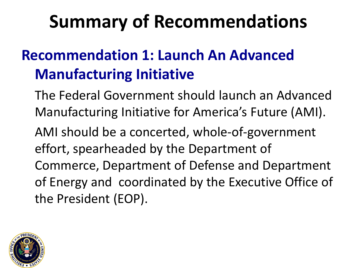#### **Recommendation 1: Launch An Advanced Manufacturing Initiative**

- The Federal Government should launch an Advanced Manufacturing Initiative for America's Future (AMI).
- AMI should be a concerted, whole-of-government effort, spearheaded by the Department of Commerce, Department of Defense and Department of Energy and coordinated by the Executive Office of the President (EOP).

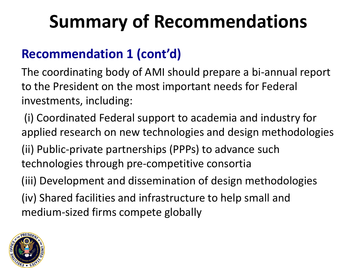#### **Recommendation 1 (cont'd)**

The coordinating body of AMI should prepare a bi-annual report to the President on the most important needs for Federal investments, including:

(i) Coordinated Federal support to academia and industry for applied research on new technologies and design methodologies

(ii) Public-private partnerships (PPPs) to advance such technologies through pre-competitive consortia

(iii) Development and dissemination of design methodologies

(iv) Shared facilities and infrastructure to help small and medium-sized firms compete globally

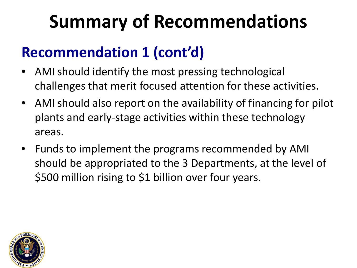#### **Recommendation 1 (cont'd)**

- AMI should identify the most pressing technological challenges that merit focused attention for these activities.
- AMI should also report on the availability of financing for pilot plants and early-stage activities within these technology areas.
- Funds to implement the programs recommended by AMI should be appropriated to the 3 Departments, at the level of \$500 million rising to \$1 billion over four years.

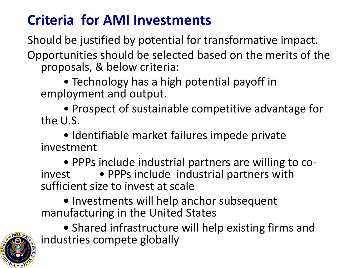#### **Criteria for AMI Investments**

Should be justified by potential for transformative impact. Opportunities should be selected based on the merits of the proposals, & below criteria:

• Technology has a high potential payoff in employment and output.

• Prospect of sustainable competitive advantage for the U.S.

• Identifiable market failures impede private investment

• PPPs include industrial partners are willing to co-<br>invest • PPPs include industrial partners with sufficient size to invest at scale

**•** Investments will help anchor subsequent manufacturing in the United States

**•** Shared infrastructure will help existing firms and industries compete globally

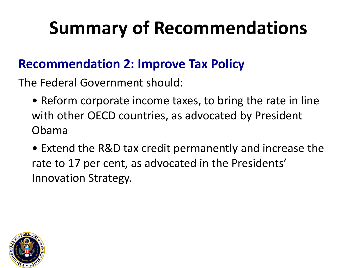#### **Recommendation 2: Improve Tax Policy**

The Federal Government should:

- Reform corporate income taxes, to bring the rate in line with other OECD countries, as advocated by President Obama
- Extend the R&D tax credit permanently and increase the rate to 17 per cent, as advocated in the Presidents' Innovation Strategy.

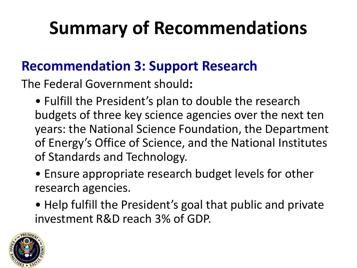#### **Recommendation 3: Support Research**

The Federal Government should**:** 

- Fulfill the President's plan to double the research budgets of three key science agencies over the next ten years: the National Science Foundation, the Department of Energy's Office of Science, and the National Institutes of Standards and Technology.
- Ensure appropriate research budget levels for other research agencies.
- Help fulfill the President's goal that public and private investment R&D reach 3% of GDP.